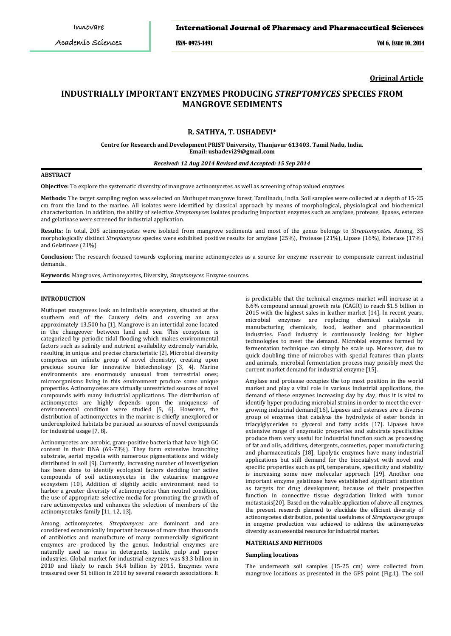### International Journal of Pharmacy and Pharmaceutical Sciences

ISSN- 0975-1491 Vol 6, Issue 10, 2014

**Original Article**

# **INDUSTRIALLY IMPORTANT ENZYMES PRODUCING** *STREPTOMYCES* **SPECIES FROM MANGROVE SEDIMENTS**

## **R. SATHYA, T. USHADEVI\***

#### **Centre for Research and Development PRIST University, Thanjavur 613403. Tamil Nadu, India. Email: ushadevi29@gmail.com**

### *Received: 12 Aug 2014 Revised and Accepted: 15 Sep 2014*

#### **ABSTRACT**

**Objective:** To explore the systematic diversity of mangrove actinomycetes as well as screening of top valued enzymes

**Methods:** The target sampling region was selected on Muthupet mangrove forest, Tamilnadu, India. Soil samples were collected at a depth of 15-25 cm from the land to the marine. All isolates were identified by classical approach by means of morphological, physiological and biochemical characterization. In addition, the ability of selective *Streptomyces* isolates producing important enzymes such as amylase, protease, lipases, esterase and gelatinase were screened for industrial application.

**Results:** In total, 205 actinomycetes were isolated from mangrove sediments and most of the genus belongs to *Streptomycetes*. Among, 35 morphologically distinct *Streptomyces* species were exhibited positive results for amylase (25%), Protease (21%), Lipase (16%), Esterase (17%) and Gelatinase (21%)

**Conclusion:** The research focused towards exploring marine actinomycetes as a source for enzyme reservoir to compensate current industrial demands.

**Keywords**: Mangroves, Actinomycetes, Diversity, *Streptomyces*, Enzyme sources.

#### **INTRODUCTION**

Muthupet mangroves look an inimitable ecosystem, situated at the southern end of the Cauvery delta and covering an area approximately 13,500 ha [1]. Mangrove is an intertidal zone located in the changeover between land and sea. This ecosystem is categorized by periodic tidal flooding which makes environmental factors such as salinity and nutrient availability extremely variable, resulting in unique and precise characteristic [2]. Microbial diversity comprises an infinite group of novel chemistry, creating upon precious source for innovative biotechnology [3, 4]. Marine environments are enormously unusual from terrestrial ones; microorganisms living in this environment produce some unique properties. Actinomycetes are virtually unrestricted sources of novel compounds with many industrial applications. The distribution of actinomycetes are highly depends upon the uniqueness of environmental condition were studied [5, 6]. However, the distribution of actinomycetes in the marine is chiefly unexplored or underexploited habitats be pursued as sources of novel compounds for industrial usage [7, 8].

Actinomycetes are aerobic, gram-positive bacteria that have high GC content in their DNA (69-73%). They form extensive branching substrate, aerial mycelia with numerous pigmentations and widely distributed in soil [9]. Currently, increasing number of investigation has been done to identify ecological factors deciding for active compounds of soil actinomycetes in the estuarine mangrove ecosystem [10]. Addition of slightly acidic environment need to harbor a greater diversity of actinomycetes than neutral condition, the use of appropriate selective media for promoting the growth of rare actinomycetes and enhances the selection of members of the actinomycetales family [11, 12, 13].

Among actinomycetes, *Streptomyces* are dominant and are considered economically important because of more than thousands of antibiotics and manufacture of many commercially significant enzymes are produced by the genus. Industrial enzymes are naturally used as mass in detergents, textile, pulp and paper industries. Global market for industrial enzymes was \$3.3 billion in 2010 and likely to reach \$4.4 billion by 2015. Enzymes were treasured over \$1 billion in 2010 by several research associations. It

is predictable that the technical enzymes market will increase at a 6.6% compound annual growth rate (CAGR) to reach \$1.5 billion in 2015 with the highest sales in leather market [14]. In recent years, microbial enzymes are replacing chemical catalysts in manufacturing chemicals, food, leather and pharmaceutical industries. Food industry is continuously looking for higher technologies to meet the demand. Microbial enzymes formed by fermentation technique can simply be scale up. Moreover, due to quick doubling time of microbes with special features than plants and animals, microbial fermentation process may possibly meet the current market demand for industrial enzyme [15].

Amylase and protease occupies the top most position in the world market and play a vital role in various industrial applications, the demand of these enzymes increasing day by day, thus it is vital to identify hyper producing microbial strains in order to meet the evergrowing industrial demand[16]. Lipases and esterases are a diverse group of enzymes that catalyze the hydrolysis of ester bonds in triacylglycerides to glycerol and fatty acids [17]. Lipases have extensive range of enzymatic properties and substrate specificities produce them very useful for industrial function such as processing of fat and oils, additives, detergents, cosmetics, paper manufacturing and pharmaceuticals [18]. Lipolytic enzymes have many industrial applications but still demand for the biocatalyst with novel and specific properties such as pH, temperature, specificity and stability is increasing some new molecular approach [19]. Another one important enzyme gelatinase have established significant attention as targets for drug development; because of their prospective function in connective tissue degradation linked with tumor metastasis[20]. Based on the valuable application of above all enzymes, the present research planned to elucidate the efficient diversity of actinomycetes distribution, potential usefulness of *Streptomyces* groups in enzyme production was achieved to address the actinomycetes diversity as an essential resource for industrial market.

#### **MATERIALS AND METHODS**

#### **Sampling locations**

The underneath soil samples (15-25 cm) were collected from mangrove locations as presented in the GPS point (Fig.1). The soil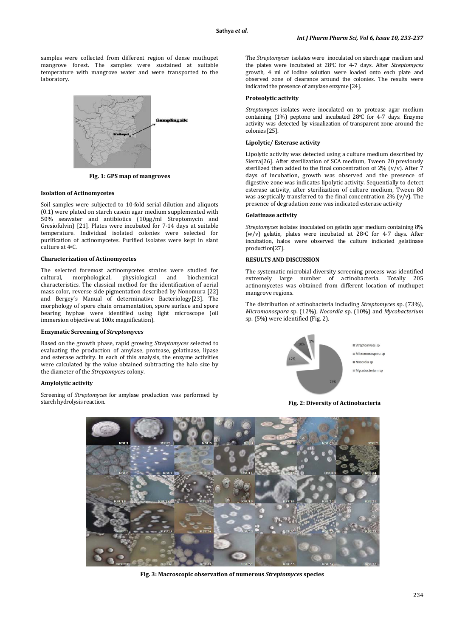samples were collected from different region of dense muthupet mangrove forest. The samples were sustained at suitable temperature with mangrove water and were transported to the laboratory.



**Fig. 1: GPS map of mangroves**

### **Isolation of Actinomycetes**

Soil samples were subjected to 10-fold serial dilution and aliquots (0.1) were plated on starch casein agar medium supplemented with 50% seawater and antibiotics (10µg/ml Streptomycin and Gresiofulvin) [21]. Plates were incubated for 7-14 days at suitable temperature. Individual isolated colonies were selected for purification of actinomycetes. Purified isolates were kept in slant culture at 4oC.

#### **Characterization of Actinomycetes**

The selected foremost actinomycetes strains were studied for cultural, morphological, physiological and biochemical cultural, morphological, physiological and biochemical characteristics. The classical method for the identification of aerial mass color, reverse side pigmentation described by Nonomura [22] and Bergey's Manual of determinative Bacteriology[23]. The morphology of spore chain ornamentation, spore surface and spore bearing hyphae were identified using light microscope (oil immersion objective at 100x magnification).

### **Enzymatic Screening of** *Streptomyces*

Based on the growth phase, rapid growing *Streptomyces* selected to evaluating the production of amylase, protease, gelatinase, lipase and esterase activity. In each of this analysis, the enzyme activities were calculated by the value obtained subtracting the halo size by the diameter of the *Streptomyces* colony.

### **Amylolytic activity**

Screening of *Streptomyces* for amylase production was performed by starch hydrolysis reaction.

The *Streptomyces* isolates were inoculated on starch agar medium and the plates were incubated at 28o C for 4-7 days. After *Streptomyces* growth, 4 ml of iodine solution were loaded onto each plate and observed zone of clearance around the colonies. The results were indicated the presence of amylase enzyme [24].

#### **Proteolytic activity**

*Streptomyces* isolates were inoculated on to protease agar medium containing (1%) peptone and incubated 28o C for 4-7 days. Enzyme activity was detected by visualization of transparent zone around the colonies [25].

#### **Lipolytic/ Esterase activity**

Lipolytic activity was detected using a culture medium described by Sierra<sup>[26]</sup>. After sterilization of SCA medium, Tween 20 previously sterilized then added to the final concentration of 2% (v/v). After 7 days of incubation, growth was observed and the presence of digestive zone was indicates lipolytic activity. Sequentially to detect esterase activity, after sterilization of culture medium, Tween 80 was aseptically transferred to the final concentration  $2\%$  (v/v). The presence of degradation zone was indicated esterase activity

### **Gelatinase activity**

*Streptomyces* isolates inoculated on gelatin agar medium containing 8% (w/v) gelatin, plates were incubated at 28oC for 4-7 days. After incubation, halos were observed the culture indicated gelatinase production[27].

### **RESULTS AND DISCUSSION**

The systematic microbial diversity screening process was identified extremely large number of actinobacteria. Totally 205 actinomycetes was obtained from different location of muthupet mangrove regions.

The distribution of actinobacteria including *Streptomyces* sp. (73%), *Micromonospora* sp. (12%), *Nocordia* sp. (10%) and *Mycobacterium* sp. (5%) were identified (Fig. 2).



### **Fig. 2: Diversity of Actinobacteria**



**Fig. 3: Macroscopic observation of numerous** *Streptomyces* **species**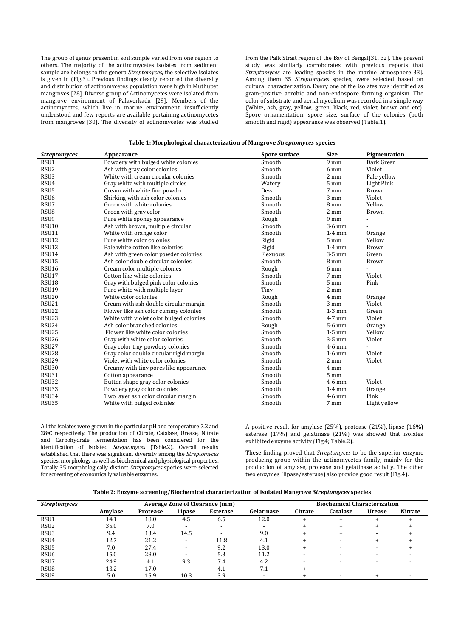The group of genus present in soil sample varied from one region to others. The majority of the actinomycetes isolates from sediment sample are belongs to the genera *Streptomyces*, the selective isolates is given in (Fig.3). Previous findings clearly reported the diversity and distribution of actinomycetes population were high in Muthupet mangroves [28]. Diverse group of Actinomycetes were isolated from mangrove environment of Palaverkadu [29]. Members of the actinomycetes, which live in marine environment, insufficiently understood and few reports are available pertaining actinomycetes from mangroves [30]. The diversity of actinomycetes was studied

from the Palk Strait region of the Bay of Bengal[31, 32]. The present study was similarly corroborates with previous reports that *Streptomyces* are leading species in the marine atmosphere[33]. Among them 35 *Streptomyces* species, were selected based on cultural characterization. Every one of the isolates was identified as gram-positive aerobic and non-endospore forming organism. The color of substrate and aerial mycelium was recorded in a simple way (White, ash, gray, yellow, green, black, red, violet, brown and etc). Spore ornamentation, spore size, surface of the colonies (both smooth and rigid) appearance was observed (Table.1).

| Table 1: Morphological characterization of Mangrove Streptomyces species |  |  |
|--------------------------------------------------------------------------|--|--|
|--------------------------------------------------------------------------|--|--|

| <b>Streptomyces</b> | Appearance                              | <b>Spore surface</b> | <b>Size</b>     | Pigmentation |
|---------------------|-----------------------------------------|----------------------|-----------------|--------------|
| RSU1                | Powdery with bulged white colonies      | Smooth               | 9 <sub>mm</sub> | Dark Green   |
| RSU <sub>2</sub>    | Ash with gray color colonies            | Smooth               | 6 mm            | Violet       |
| RSU <sub>3</sub>    | White with cream circular colonies      | Smooth               | $2 \text{ mm}$  | Pale yellow  |
| RSU4                | Gray white with multiple circles        | Watery               | $5~\mathrm{mm}$ | Light Pink   |
| RSU5                | Cream with white fine powder            | Dew                  | 7 mm            | Brown        |
| RSU <sub>6</sub>    | Shirking with ash color colonies        | Smooth               | $3 \text{ mm}$  | Violet       |
| RSU7                | Green with white colonies               | Smooth               | 8 mm            | Yellow       |
| RSU <sub>8</sub>    | Green with gray color                   | Smooth               | 2 mm            | Brown        |
| RSU <sub>9</sub>    | Pure white spongy appearance            | Rough                | 9 <sub>mm</sub> |              |
| <b>RSU10</b>        | Ash with brown, multiple circular       | Smooth               | $3-6$ mm        |              |
| RSU11               | White with orange color                 | Smooth               | $1-4$ mm        | Orange       |
| RSU12               | Pure white color colonies               | Rigid                | $5 \text{ mm}$  | Yellow       |
| RSU13               | Pale white cotton like colonies         | Rigid                | $1-4$ mm        | Brown        |
| RSU14               | Ash with green color powder colonies    | Flexuous             | $3-5$ mm        | Green        |
| RSU <sub>15</sub>   | Ash color double circular colonies      | Smooth               | 8 mm            | Brown        |
| <b>RSU16</b>        | Cream color multiple colonies           | Rough                | 6 mm            |              |
| RSU17               | Cotton like white colonies              | Smooth               | 7 mm            | Violet       |
| RSU18               | Gray with bulged pink color colonies    | Smooth               | $5 \text{ mm}$  | Pink         |
| <b>RSU19</b>        | Pure white with multiple layer          | Tiny                 | $2 \text{ mm}$  |              |
| <b>RSU20</b>        | White color colonies                    | Rough                | 4 mm            | Orange       |
| RSU <sub>21</sub>   | Cream with ash double circular margin   | Smooth               | 3 mm            | Violet       |
| RSU22               | Flower like ash color cummy colonies    | Smooth               | $1-3$ mm        | Green        |
| RSU <sub>23</sub>   | White with violet color bulged colonies | Smooth               | $4-7$ mm        | Violet       |
| RSU24               | Ash color branched colonies             | Rough                | $5-6$ mm        | Orange       |
| RSU25               | Flower like white color colonies        | Smooth               | $1-5$ mm        | Yellow       |
| RSU <sub>26</sub>   | Gray with white color colonies          | Smooth               | $3-5$ mm        | Violet       |
| RSU <sub>27</sub>   | Gray color tiny powdery colonies        | Smooth               | $4-6$ mm        |              |
| RSU <sub>28</sub>   | Gray color double circular rigid margin | Smooth               | $1-6$ mm        | Violet       |
| RSU29               | Violet with white color colonies        | Smooth               | 2 mm            | Violet       |
| <b>RSU30</b>        | Creamy with tiny pores like appearance  | Smooth               | 4 mm            |              |
| RSU31               | Cotton appearance                       | Smooth               | $5 \text{ mm}$  |              |
| RSU32               | Button shape gray color colonies        | Smooth               | $4-6$ mm        | Violet       |
| RSU33               | Powdery gray color colonies             | Smooth               | $1-4$ mm        | Orange       |
| RSU34               | Two layer ash color circular margin     | Smooth               | $4-6$ mm        | Pink         |
| RSU35               | White with bulged colonies              | Smooth               | 7 mm            | Light yellow |

All the isolates were grown in the particular pH and temperature 7.2 and 28o C respectively. The production of Citrate, Catalase, Urease, Nitrate and Carbohydrate fermentation has been considered for the identification of isolated *Streptomyces* (Table.2). Overall results established that there was significant diversity among the *Streptomyces* species, morphology as well as biochemical and physiological properties. Totally 35 morphologically distinct *Streptomyces* species were selected for screening of economically valuable enzymes.

A positive result for amylase (25%), protease (21%), lipase (16%) esterase (17%) and gelatinase (21%) was showed that isolates exhibited enzyme activity (Fig.4; Table.2).

These finding proved that *Streptomyces* to be the superior enzyme producing group within the actinomycetes family, mainly for the production of amylase, protease and gelatinase activity. The other two enzymes (lipase/esterase) also provide good result (Fig.4).

| <b>Streptomyces</b> | <b>Average Zone of Clearance (mm)</b> |          |                          |                 | <b>Biochemical Characterization</b> |         |                 |               |                |
|---------------------|---------------------------------------|----------|--------------------------|-----------------|-------------------------------------|---------|-----------------|---------------|----------------|
|                     | Amvlase                               | Protease | Lipase                   | <b>Esterase</b> | Gelatinase                          | Citrate | <b>Catalase</b> | <b>Urease</b> | <b>Nitrate</b> |
| RSU1                | 14.1                                  | 18.0     | 4.5                      | 6.5             | 12.0                                |         | ٠               |               |                |
| RSU <sub>2</sub>    | 35.0                                  | 7.0      | $\overline{\phantom{0}}$ | -               |                                     |         |                 |               |                |
| RSU <sub>3</sub>    | 9.4                                   | 13.4     | 14.5                     |                 | 9.0                                 |         |                 |               |                |
| RSU4                | 12.7                                  | 21.2     | $\overline{\phantom{a}}$ | 11.8            | 4.1                                 |         |                 |               |                |
| RSU <sub>5</sub>    | 7.0                                   | 27.4     | -                        | 9.2             | 13.0                                |         |                 |               |                |
| RSU <sub>6</sub>    | 15.0                                  | 28.0     | $\overline{\phantom{0}}$ | 5.3             | 11.2                                |         |                 |               |                |
| RSU7                | 24.9                                  | 4.1      | 9.3                      | 7.4             | 4.2                                 |         |                 |               |                |
| RSU <sub>8</sub>    | 13.2                                  | 17.0     | $\overline{\phantom{0}}$ | 4.1             | 7.1                                 |         |                 |               |                |
| RSU <sub>9</sub>    | 5.0                                   | 15.9     | 10.3                     | 3.9             |                                     |         |                 |               |                |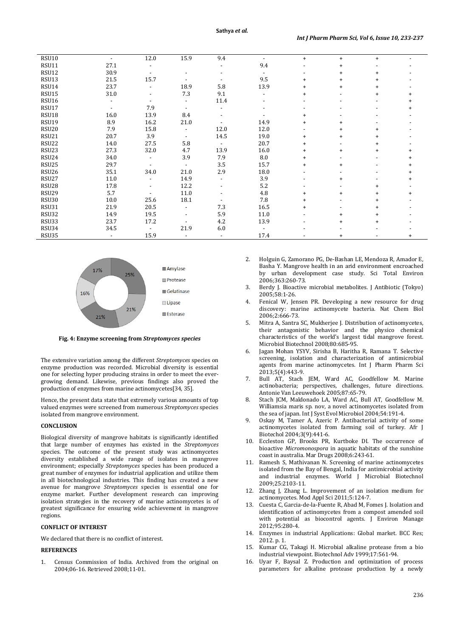| <b>RSU10</b>      | $\overline{a}$ | 12.0 | 15.9                     | 9.4                      |      | $+$       | $\ddot{}$ | $+$       |  |
|-------------------|----------------|------|--------------------------|--------------------------|------|-----------|-----------|-----------|--|
| RSU11             | 27.1           |      |                          |                          | 9.4  |           | $\ddot{}$ |           |  |
| RSU12             | 30.9           |      |                          |                          |      |           | $\ddot{}$ | $\ddot{}$ |  |
| RSU13             | 21.5           | 15.7 |                          |                          | 9.5  | $\ddot{}$ | $\ddot{}$ | $\ddot{}$ |  |
| RSU14             | 23.7           |      | 18.9                     | 5.8                      | 13.9 | $+$       | $\ddot{}$ | $+$       |  |
| RSU15             | 31.0           |      | 7.3                      | 9.1                      |      | +         |           | $\ddot{}$ |  |
| RSU16             |                |      |                          | 11.4                     |      |           |           |           |  |
| RSU17             |                | 7.9  |                          |                          |      |           |           |           |  |
| RSU18             | 16.0           | 13.9 | 8.4                      |                          |      | $\ddot{}$ |           |           |  |
| RSU19             | 8.9            | 16.2 | 21.0                     |                          | 14.9 | $\ddot{}$ | $\ddot{}$ |           |  |
| RSU <sub>20</sub> | 7.9            | 15.8 | $\overline{\phantom{a}}$ | 12.0                     | 12.0 |           | $\ddot{}$ | $+$       |  |
| RSU21             | 20.7           | 3.9  |                          | 14.5                     | 19.0 | $\ddot{}$ | $\ddot{}$ | $+$       |  |
| RSU22             | 14.0           | 27.5 | 5.8                      | $\overline{\phantom{a}}$ | 20.7 | $\ddot{}$ |           |           |  |
| RSU <sub>23</sub> | 27.3           | 32.0 | 4.7                      | 13.9                     | 16.0 | $\ddot{}$ | $\ddot{}$ | $\ddot{}$ |  |
| RSU <sub>24</sub> | 34.0           |      | 3.9                      | 7.9                      | 8.0  | $\ddot{}$ |           |           |  |
| RSU <sub>25</sub> | 29.7           |      |                          | 3.5                      | 15.7 | $+$       | $\ddot{}$ |           |  |
| RSU <sub>26</sub> | 35.1           | 34.0 | 21.0                     | 2.9                      | 18.0 |           |           |           |  |
| RSU27             | 11.0           |      | 14.9                     | $\overline{\phantom{a}}$ | 3.9  |           | $\ddot{}$ |           |  |
| RSU <sub>28</sub> | 17.8           |      | 12.2                     |                          | 5.2  |           |           |           |  |
| RSU <sub>29</sub> | 5.7            |      | 11.0                     |                          | 4.8  |           |           |           |  |
| RSU30             | 10.0           | 25.6 | 18.1                     |                          | 7.8  | $\ddot{}$ |           | $\ddot{}$ |  |
| RSU31             | 21.9           | 20.5 |                          | 7.3                      | 16.5 | $\ddot{}$ |           |           |  |
| RSU32             | 14.9           | 19.5 |                          | 5.9                      | 11.0 |           | $\ddot{}$ | $\ddot{}$ |  |
| RSU33             | 23.7           | 17.2 |                          | 4.2                      | 13.9 |           | $\ddot{}$ | $+$       |  |
| RSU34             | 34.5           |      | 21.9                     | 6.0                      |      |           |           |           |  |
| RSU35             |                | 15.9 |                          |                          | 17.4 |           |           |           |  |



**Fig. 4: Enzyme screening from** *Streptomyces species*

The extensive variation among the different *Streptomyces* species on enzyme production was recorded. Microbial diversity is essential one for selecting hyper producing strains in order to meet the evergrowing demand. Likewise, previous findings also proved the production of enzymes from marine actinomycetes[34, 35].

Hence, the present data state that extremely various amounts of top valued enzymes were screened from numerous *Streptomyces* species isolated from mangrove environment.

### **CONCLUSION**

Biological diversity of mangrove habitats is significantly identified that large number of enzymes has existed in the *Streptomyces* species. The outcome of the present study was actinomycetes diversity established a wide range of isolates in mangrove environment; especially *Streptomyces* species has been produced a great number of enzymes for industrial application and utilize them in all biotechnological industries. This finding has created a new avenue for mangrove *Streptomyces* species is essential one for enzyme market. Further development research can improving isolation strategies in the recovery of marine actinomycetes is of greatest significance for ensuring wide achievement in mangrove regions.

### **CONFLICT OF INTEREST**

We declared that there is no conflict of interest.

### **REFERENCES**

1. Census Commission of India. Archived from the original on 2004;06-16. Retrieved 2008;11-01.

- 2. Holguin G, Zamorano PG, De-Bashan LE, Mendoza R, Amador E, Basha Y. Mangrove health in an arid environment encroached by urban development case study. Sci Total Environ 2006;363:260-73.
- 3. Berdy J. Bioactive microbial metabolites*.* J Antibiotic (Tokyo) 2005;58:1-26.
- 4. Fenical W, Jensen PR. Developing a new resource for drug discovery: marine actinomycete bacteria. Nat Chem Biol 2006;2:666-73.
- 5. Mitra A, Santra SC, Mukherjee J. Distribution of actinomycetes, their antagonistic behavior and the physico chemical characteristics of the world's largest tidal mangrove forest. Microbiol Biotechnol 2008;80:685-95.
- Jagan Mohan YSYV, Sirisha B, Haritha R, Ramana T. Selective screening, isolation and characterization of antimicrobial agents from marine actinomycetes. Int J Pharm Pharm Sci 2013;5(4):443-9.
- 7. Bull AT, Stach JEM, Ward AC, Goodfellow M. Marine actinobacteria; perspectives, challenges, future directions. Antonie Van Leeuwehoek 2005;87:65-79.
- 8. Stach JCM, Maldonado LA, Ward AC, Bull AT, Goodfellow M. Williamsia maris sp. nov, a novel actinomycetes isolated from the sea of japan. Int J Syst Evol Microbiol 2004;54:191-4.
- 9. Oskay M, Tamer A, Azeric P. Antibacterial activity of some actinomycetes isolated from farming soil of turkey. Afr J Biotechol 2004;3(9):441-6.
- 10. Eccleston GP, Brooks PR, Kurtboke DI. The occurrence of bioactive *Micromonospora* in aquatic habitats of the sunshine coast in australia. Mar Drugs 2008;6:243-61.
- 11. Ramesh S, Mathivanan N. Screening of marine actinomycetes isolated from the Bay of Bengal, India for antimicrobial activity and industrial enzymes. World J Microbial Biotechnol 2009;25:2103-11.
- 12. Zhang J, Zhang L. Improvement of an isolation medium for actinomycetes. Mod Appl Sci 2011;5:124-7.
- 13. Cuesta C, Garcia-de-la-Fuente R, Abad M, Fomes J. Isolation and identification of actinomycetes from a compost amended soil with potential as biocontrol agents. J Environ Manage 2012;95:280-4.
- 14. Enzymes in industrial Applications: Global market. BCC Res; 2012. p. 1.
- 15. Kumar CG, Takagi H. Microbial alkaline protease from a bio industrial viewpoint. Biotechnol Adv 1999;17:561-94.
- 16. Uyar F, Baysal Z. Production and optimization of process parameters for alkaline protease production by a newly